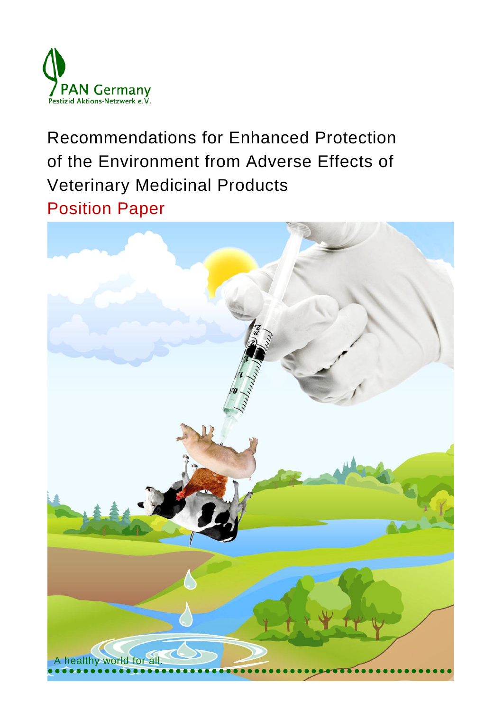

Recommendations for Enhanced Protection of the Environment from Adverse Effects of Veterinary Medicinal Products Position Paper

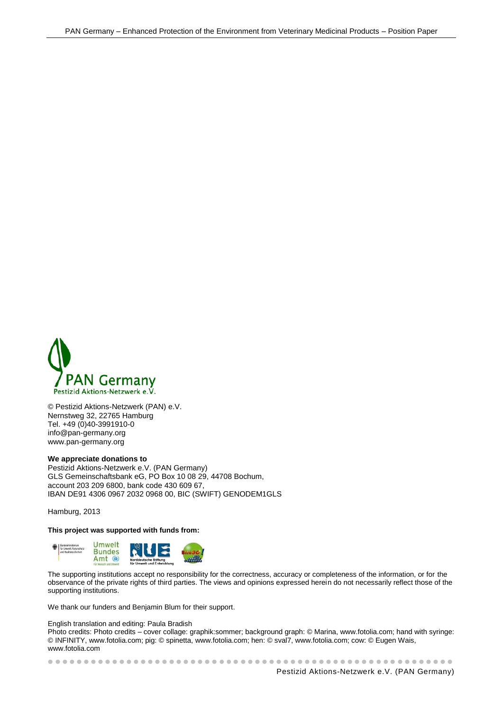

© Pestizid Aktions-Netzwerk (PAN) e.V. Nernstweg 32, 22765 Hamburg Tel. +49 (0)40-3991910-0 info@pan-germany.org www.pan-germany.org

#### **We appreciate donations to**

Pestizid Aktions-Netzwerk e.V. (PAN Germany) GLS Gemeinschaftsbank eG, PO Box 10 08 29, 44708 Bochum, account 203 209 6800, bank code 430 609 67, IBAN DE91 4306 0967 2032 0968 00, BIC (SWIFT) GENODEM1GLS

Hamburg, 2013

#### **This project was supported with funds from:**



The supporting institutions accept no responsibility for the correctness, accuracy or completeness of the information, or for the observance of the private rights of third parties. The views and opinions expressed herein do not necessarily reflect those of the supporting institutions.

We thank our funders and Benjamin Blum for their support.

English translation and editing: Paula Bradish

Photo credits: Photo credits – cover collage: graphik:sommer; background graph: © Marina, www.fotolia.com; hand with syringe: © INFINITY, www.fotolia.com; pig: © spinetta, www.fotolia.com; hen: © sval7, www.fotolia.com; cow: © Eugen Wais, www.fotolia.com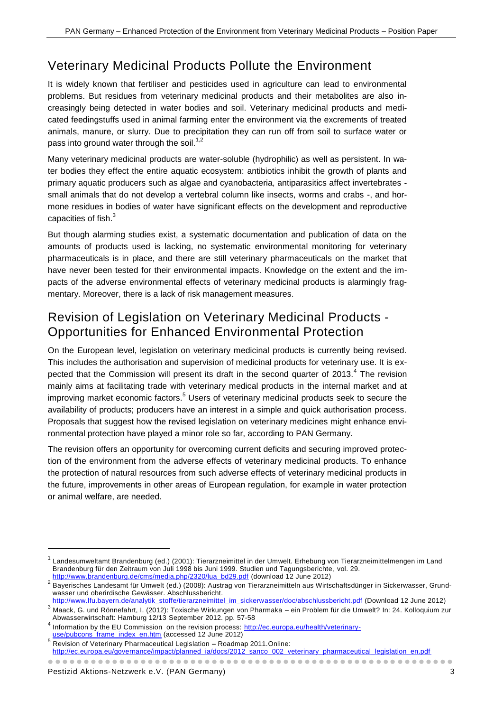# Veterinary Medicinal Products Pollute the Environment

It is widely known that fertiliser and pesticides used in agriculture can lead to environmental problems. But residues from veterinary medicinal products and their metabolites are also increasingly being detected in water bodies and soil. Veterinary medicinal products and medicated feedingstuffs used in animal farming enter the environment via the excrements of treated animals, manure, or slurry. Due to precipitation they can run off from soil to surface water or pass into ground water through the soil.<sup>1,2</sup>

Many veterinary medicinal products are water-soluble (hydrophilic) as well as persistent. In water bodies they effect the entire aquatic ecosystem: antibiotics inhibit the growth of plants and primary aquatic producers such as algae and cyanobacteria, antiparasitics affect invertebrates small animals that do not develop a vertebral column like insects, worms and crabs -, and hormone residues in bodies of water have significant effects on the development and reproductive capacities of fish.<sup>3</sup>

But though alarming studies exist, a systematic documentation and publication of data on the amounts of products used is lacking, no systematic environmental monitoring for veterinary pharmaceuticals is in place, and there are still veterinary pharmaceuticals on the market that have never been tested for their environmental impacts. Knowledge on the extent and the impacts of the adverse environmental effects of veterinary medicinal products is alarmingly fragmentary. Moreover, there is a lack of risk management measures.

## Revision of Legislation on Veterinary Medicinal Products - Opportunities for Enhanced Environmental Protection

On the European level, legislation on veterinary medicinal products is currently being revised. This includes the authorisation and supervision of medicinal products for veterinary use. It is expected that the Commission will present its draft in the second quarter of 2013.<sup>4</sup> The revision mainly aims at facilitating trade with veterinary medical products in the internal market and at improving market economic factors.<sup>5</sup> Users of veterinary medicinal products seek to secure the availability of products; producers have an interest in a simple and quick authorisation process. Proposals that suggest how the revised legislation on veterinary medicines might enhance environmental protection have played a minor role so far, according to PAN Germany.

The revision offers an opportunity for overcoming current deficits and securing improved protection of the environment from the adverse effects of veterinary medicinal products. To enhance the protection of natural resources from such adverse effects of veterinary medicinal products in the future, improvements in other areas of European regulation, for example in water protection or animal welfare, are needed.

-

<sup>1</sup> Landesumweltamt Brandenburg (ed.) (2001): Tierarzneimittel in der Umwelt. Erhebung von Tierarzneimittelmengen im Land Brandenburg für den Zeitraum von Juli 1998 bis Juni 1999. Studien und Tagungsberichte, vol. 29. [http://www.brandenburg.de/cms/media.php/2320/lua\\_bd29.pdf](http://www.brandenburg.de/cms/media.php/2320/lua_bd29.pdf) (download 12 June 2012)

<sup>2</sup> Bayerisches Landesamt für Umwelt (ed.) (2008): Austrag von Tierarzneimitteln aus Wirtschaftsdünger in Sickerwasser, Grundwasser und oberirdische Gewässer. Abschlussbericht.

[http://www.lfu.bayern.de/analytik\\_stoffe/tierarzneimittel\\_im\\_sickerwasser/doc/abschlussbericht.pdf](http://www.lfu.bayern.de/analytik_stoffe/tierarzneimittel_im_sickerwasser/doc/abschlussbericht.pdf) (Download 12 June 2012)

<sup>3</sup> Maack, G. und Rönnefahrt, I. (2012): Toxische Wirkungen von Pharmaka – ein Problem für die Umwelt? In: 24. Kolloquium zur Abwasserwirtschaft: Hamburg 12/13 September 2012. pp. 57-58 4

Information by the EU Commission on the revision process: [http://ec.europa.eu/health/veterinary](http://ec.europa.eu/health/veterinary-use/pubcons_frame_index_en.htm)[use/pubcons\\_frame\\_index\\_en.htm](http://ec.europa.eu/health/veterinary-use/pubcons_frame_index_en.htm) (accessed 12 June 2012)

<sup>&</sup>lt;sup>5</sup> Revision of Veterinary Pharmaceutical Legislation - Roadmap 2011.Online: [http://ec.europa.eu/governance/impact/planned\\_ia/docs/2012\\_sanco\\_002\\_veterinary\\_pharmaceutical\\_legislation\\_en.pdf](http://ec.europa.eu/governance/impact/planned_ia/docs/2012_sanco_002_veterinary_pharmaceutical_legislation_en.pdf)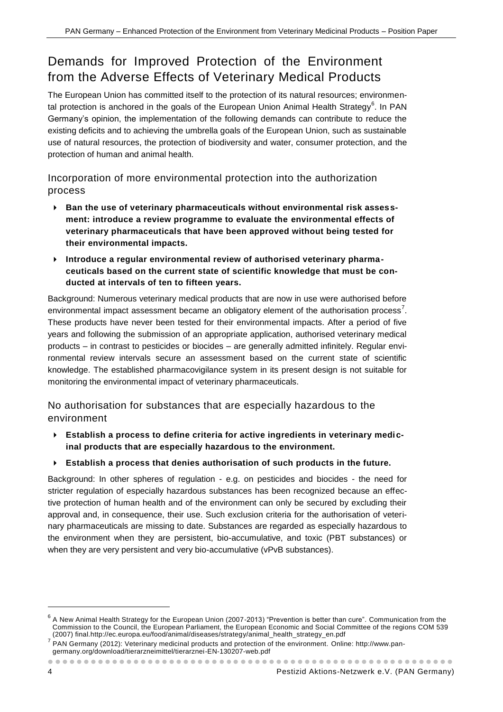# Demands for Improved Protection of the Environment from the Adverse Effects of Veterinary Medical Products

The European Union has committed itself to the protection of its natural resources; environmental protection is anchored in the goals of the European Union Animal Health Strategy<sup>6</sup>. In PAN Germany's opinion, the implementation of the following demands can contribute to reduce the existing deficits and to achieving the umbrella goals of the European Union, such as sustainable use of natural resources, the protection of biodiversity and water, consumer protection, and the protection of human and animal health.

Incorporation of more environmental protection into the authorization process

- **Ban the use of veterinary pharmaceuticals without environmental risk assessment: introduce a review programme to evaluate the environmental effects of veterinary pharmaceuticals that have been approved without being tested for their environmental impacts.**
- **Introduce a regular environmental review of authorised veterinary pharmaceuticals based on the current state of scientific knowledge that must be conducted at intervals of ten to fifteen years.**

Background: Numerous veterinary medical products that are now in use were authorised before environmental impact assessment became an obligatory element of the authorisation process<sup>7</sup>. These products have never been tested for their environmental impacts. After a period of five years and following the submission of an appropriate application, authorised veterinary medical products – in contrast to pesticides or biocides – are generally admitted infinitely. Regular environmental review intervals secure an assessment based on the current state of scientific knowledge. The established pharmacovigilance system in its present design is not suitable for monitoring the environmental impact of veterinary pharmaceuticals.

No authorisation for substances that are especially hazardous to the environment

- **Establish a process to define criteria for active ingredients in veterinary medicinal products that are especially hazardous to the environment.**
- **Establish a process that denies authorisation of such products in the future.**

Background: In other spheres of regulation - e.g. on pesticides and biocides - the need for stricter regulation of especially hazardous substances has been recognized because an effective protection of human health and of the environment can only be secured by excluding their approval and, in consequence, their use. Such exclusion criteria for the authorisation of veterinary pharmaceuticals are missing to date. Substances are regarded as especially hazardous to the environment when they are persistent, bio-accumulative, and toxic (PBT substances) or when they are very persistent and very bio-accumulative (vPvB substances).

-

<sup>&</sup>lt;sup>6</sup> A New Animal Health Strategy for the European Union (2007-2013) "Prevention is better than cure". Communication from the Commission to the Council, the European Parliament, the European Economic and Social Committee of the regions COM 539 (2007) final[.http://ec.europa.eu/food/animal/diseases/strategy/animal\\_health\\_strategy\\_en.pdf](http://ec.europa.eu/food/animal/diseases/strategy/animal_health_strategy_en.pdf)

<sup>&</sup>lt;sup>7</sup> PAN Germany (2012): Veterinary medicinal products and protection of the environment. Online: [http://www.pan](http://www.pan-germany.org/download/tierarzneimittel/tierarznei-EN-130207-web.pdf)[germany.org/download/tierarzneimittel/tierarznei-EN-130207-web.pdf](http://www.pan-germany.org/download/tierarzneimittel/tierarznei-EN-130207-web.pdf)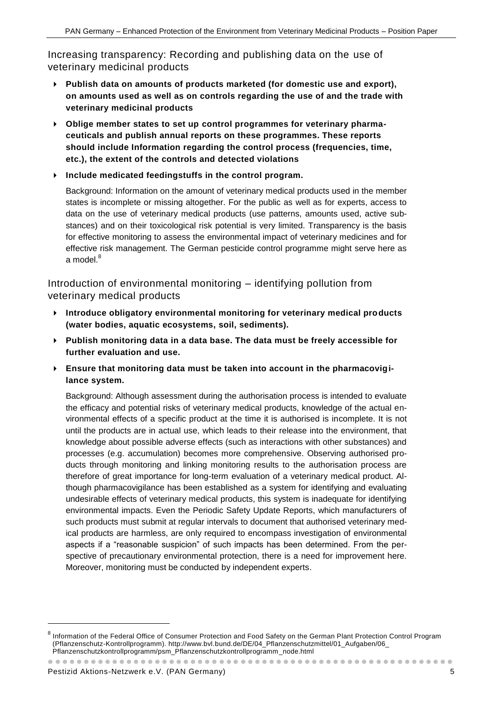Increasing transparency: Recording and publishing data on the use of veterinary medicinal products

- **Publish data on amounts of products marketed (for domestic use and export), on amounts used as well as on controls regarding the use of and the trade with veterinary medicinal products**
- **Oblige member states to set up control programmes for veterinary pharmaceuticals and publish annual reports on these programmes. These reports should include Information regarding the control process (frequencies, time, etc.), the extent of the controls and detected violations**
- **Include medicated feedingstuffs in the control program.**

Background: Information on the amount of veterinary medical products used in the member states is incomplete or missing altogether. For the public as well as for experts, access to data on the use of veterinary medical products (use patterns, amounts used, active substances) and on their toxicological risk potential is very limited. Transparency is the basis for effective monitoring to assess the environmental impact of veterinary medicines and for effective risk management. The German pesticide control programme might serve here as a model. $8$ 

Introduction of environmental monitoring – identifying pollution from veterinary medical products

- **Introduce obligatory environmental monitoring for veterinary medical products (water bodies, aquatic ecosystems, soil, sediments).**
- **Publish monitoring data in a data base. The data must be freely accessible for further evaluation and use.**
- **Ensure that monitoring data must be taken into account in the pharmacovigilance system.**

Background: Although assessment during the authorisation process is intended to evaluate the efficacy and potential risks of veterinary medical products, knowledge of the actual environmental effects of a specific product at the time it is authorised is incomplete. It is not until the products are in actual use, which leads to their release into the environment, that knowledge about possible adverse effects (such as interactions with other substances) and processes (e.g. accumulation) becomes more comprehensive. Observing authorised products through monitoring and linking monitoring results to the authorisation process are therefore of great importance for long-term evaluation of a veterinary medical product. Although pharmacovigilance has been established as a system for identifying and evaluating undesirable effects of veterinary medical products, this system is inadequate for identifying environmental impacts. Even the Periodic Safety Update Reports, which manufacturers of such products must submit at regular intervals to document that authorised veterinary medical products are harmless, are only required to encompass investigation of environmental aspects if a "reasonable suspicion" of such impacts has been determined. From the perspective of precautionary environmental protection, there is a need for improvement here. Moreover, monitoring must be conducted by independent experts.

-

<sup>8</sup> Information of the Federal Office of Consumer Protection and Food Safety on the German Plant Protection Control Program (Pflanzenschutz-Kontrollprogramm). http://www.bvl.bund.de/DE/04\_Pflanzenschutzmittel/01\_Aufgaben/06\_ Pflanzenschutzkontrollprogramm/psm\_Pflanzenschutzkontrollprogramm\_node.html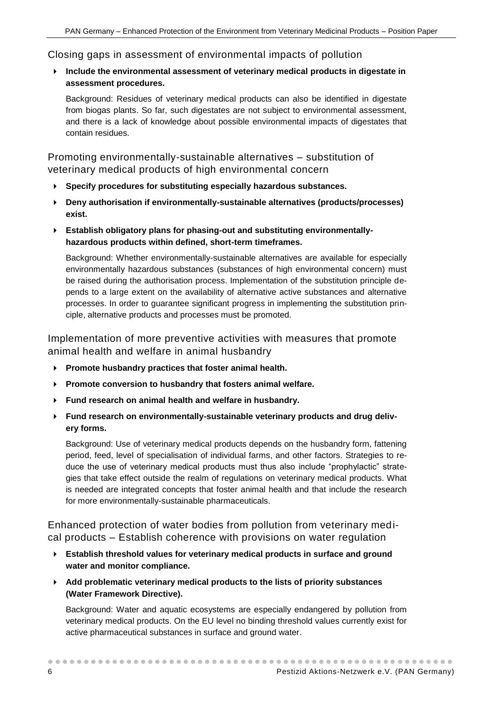### Closing gaps in assessment of environmental impacts of pollution

### **Include the environmental assessment of veterinary medical products in digestate in assessment procedures.**

Background: Residues of veterinary medical products can also be identified in digestate from biogas plants. So far, such digestates are not subject to environmental assessment, and there is a lack of knowledge about possible environmental impacts of digestates that contain residues.

Promoting environmentally-sustainable alternatives – substitution of veterinary medical products of high environmental concern

- **Specify procedures for substituting especially hazardous substances.**
- **Deny authorisation if environmentally-sustainable alternatives (products/processes) exist.**
- **Establish obligatory plans for phasing-out and substituting environmentallyhazardous products within defined, short-term timeframes.**

Background: Whether environmentally-sustainable alternatives are available for especially environmentally hazardous substances (substances of high environmental concern) must be raised during the authorisation process. Implementation of the substitution principle depends to a large extent on the availability of alternative active substances and alternative processes. In order to guarantee significant progress in implementing the substitution principle, alternative products and processes must be promoted.

Implementation of more preventive activities with measures that promote animal health and welfare in animal husbandry

- **Promote husbandry practices that foster animal health.**
- **Promote conversion to husbandry that fosters animal welfare.**
- **Fund research on animal health and welfare in husbandry.**
- **Fund research on environmentally-sustainable veterinary products and drug delivery forms.**

Background: Use of veterinary medical products depends on the husbandry form, fattening period, feed, level of specialisation of individual farms, and other factors. Strategies to reduce the use of veterinary medical products must thus also include "prophylactic" strategies that take effect outside the realm of regulations on veterinary medical products. What is needed are integrated concepts that foster animal health and that include the research for more environmentally-sustainable pharmaceuticals.

Enhanced protection of water bodies from pollution from veterinary medical products – Establish coherence with provisions on water regulation

- **Establish threshold values for veterinary medical products in surface and ground water and monitor compliance.**
- **Add problematic veterinary medical products to the lists of priority substances (Water Framework Directive).**

Background: Water and aquatic ecosystems are especially endangered by pollution from veterinary medical products. On the EU level no binding threshold values currently exist for active pharmaceutical substances in surface and ground water.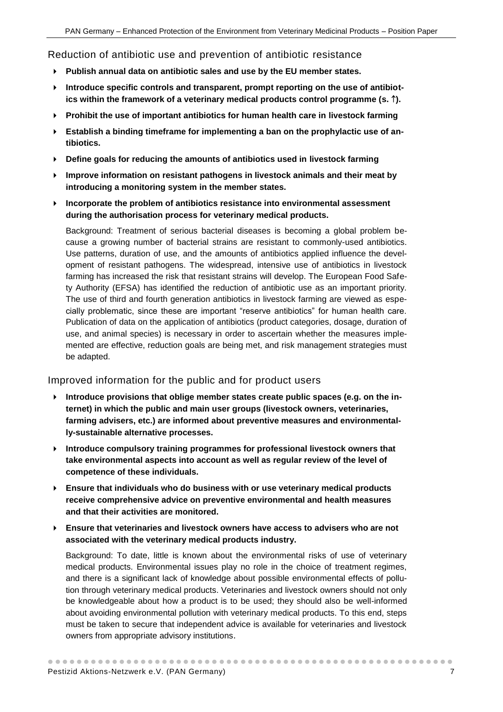Reduction of antibiotic use and prevention of antibiotic resistance

- **Publish annual data on antibiotic sales and use by the EU member states.**
- **Introduce specific controls and transparent, prompt reporting on the use of antibiot**ics within the framework of a veterinary medical products control programme (s.  $\hat{ }$ ).
- **Prohibit the use of important antibiotics for human health care in livestock farming**
- **Establish a binding timeframe for implementing a ban on the prophylactic use of antibiotics.**
- **Define goals for reducing the amounts of antibiotics used in livestock farming**
- **Improve information on resistant pathogens in livestock animals and their meat by introducing a monitoring system in the member states.**
- **Incorporate the problem of antibiotics resistance into environmental assessment during the authorisation process for veterinary medical products.**

Background: Treatment of serious bacterial diseases is becoming a global problem because a growing number of bacterial strains are resistant to commonly-used antibiotics. Use patterns, duration of use, and the amounts of antibiotics applied influence the development of resistant pathogens. The widespread, intensive use of antibiotics in livestock farming has increased the risk that resistant strains will develop. The European Food Safety Authority (EFSA) has identified the reduction of antibiotic use as an important priority. The use of third and fourth generation antibiotics in livestock farming are viewed as especially problematic, since these are important "reserve antibiotics" for human health care. Publication of data on the application of antibiotics (product categories, dosage, duration of use, and animal species) is necessary in order to ascertain whether the measures implemented are effective, reduction goals are being met, and risk management strategies must be adapted.

### Improved information for the public and for product users

- **Introduce provisions that oblige member states create public spaces (e.g. on the internet) in which the public and main user groups (livestock owners, veterinaries, farming advisers, etc.) are informed about preventive measures and environmentally-sustainable alternative processes.**
- **Introduce compulsory training programmes for professional livestock owners that take environmental aspects into account as well as regular review of the level of competence of these individuals.**
- **Ensure that individuals who do business with or use veterinary medical products receive comprehensive advice on preventive environmental and health measures and that their activities are monitored.**
- **Ensure that veterinaries and livestock owners have access to advisers who are not associated with the veterinary medical products industry.**

Background: To date, little is known about the environmental risks of use of veterinary medical products. Environmental issues play no role in the choice of treatment regimes, and there is a significant lack of knowledge about possible environmental effects of pollution through veterinary medical products. Veterinaries and livestock owners should not only be knowledgeable about how a product is to be used; they should also be well-informed about avoiding environmental pollution with veterinary medical products. To this end, steps must be taken to secure that independent advice is available for veterinaries and livestock owners from appropriate advisory institutions.